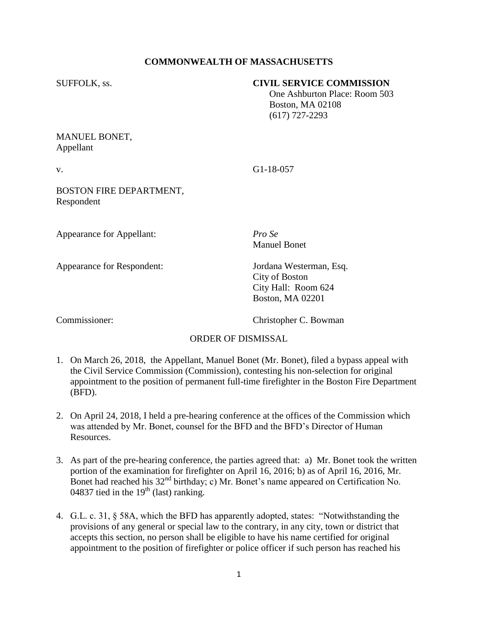# **COMMONWEALTH OF MASSACHUSETTS**

#### SUFFOLK, ss. **CIVIL SERVICE COMMISSION**

 One Ashburton Place: Room 503 Boston, MA 02108 (617) 727-2293

### MANUEL BONET, Appellant

v. G1-18-057

# BOSTON FIRE DEPARTMENT, Respondent

Appearance for Appellant: *Pro Se*

Appearance for Respondent: Jordana Westerman, Esq.

Manuel Bonet

City of Boston City Hall: Room 624 Boston, MA 02201

Commissioner: Christopher C. Bowman

#### ORDER OF DISMISSAL

- 1. On March 26, 2018, the Appellant, Manuel Bonet (Mr. Bonet), filed a bypass appeal with the Civil Service Commission (Commission), contesting his non-selection for original appointment to the position of permanent full-time firefighter in the Boston Fire Department (BFD).
- 2. On April 24, 2018, I held a pre-hearing conference at the offices of the Commission which was attended by Mr. Bonet, counsel for the BFD and the BFD's Director of Human Resources.
- 3. As part of the pre-hearing conference, the parties agreed that: a) Mr. Bonet took the written portion of the examination for firefighter on April 16, 2016; b) as of April 16, 2016, Mr. Bonet had reached his  $32<sup>nd</sup>$  birthday; c) Mr. Bonet's name appeared on Certification No. 04837 tied in the  $19<sup>th</sup>$  (last) ranking.
- 4. G.L. c. 31, § 58A, which the BFD has apparently adopted, states: "Notwithstanding the provisions of any general or special law to the contrary, in any city, town or district that accepts this section, no person shall be eligible to have his name certified for original appointment to the position of firefighter or police officer if such person has reached his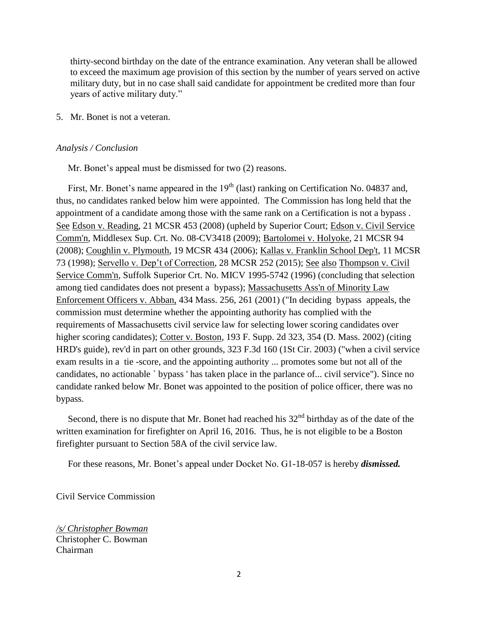thirty-second birthday on the date of the entrance examination. Any veteran shall be allowed to exceed the maximum age provision of this section by the number of years served on active military duty, but in no case shall said candidate for appointment be credited more than four years of active military duty."

5. Mr. Bonet is not a veteran.

#### *Analysis / Conclusion*

Mr. Bonet's appeal must be dismissed for two (2) reasons.

First, Mr. Bonet's name appeared in the 19<sup>th</sup> (last) ranking on Certification No. 04837 and, thus, no candidates ranked below him were appointed. The Commission has long held that the appointment of a candidate among those with the same rank on a Certification is not a bypass . See Edson v. Reading, 21 MCSR 453 (2008) (upheld by Superior Court; Edson v. Civil Service Comm'n, Middlesex Sup. Crt. No. 08-CV3418 (2009); Bartolomei v. Holyoke, 21 MCSR 94 (2008); Coughlin v. Plymouth, 19 MCSR 434 (2006); Kallas v. Franklin School Dep't, 11 MCSR 73 (1998); Servello v. Dep't of Correction, 28 MCSR 252 (2015); See also Thompson v. Civil Service Comm'n, Suffolk Superior Crt. No. MICV 1995-5742 (1996) (concluding that selection among tied candidates does not present a bypass); Massachusetts Ass'n of Minority Law Enforcement Officers v. Abban, 434 Mass. 256, 261 (2001) ("In deciding bypass appeals, the commission must determine whether the appointing authority has complied with the requirements of Massachusetts civil service law for selecting lower scoring candidates over higher scoring candidates); Cotter v. Boston, 193 F. Supp. 2d 323, 354 (D. Mass. 2002) (citing HRD's guide), rev'd in part on other grounds, 323 F.3d 160 (1St Cir. 2003) ("when a civil service exam results in a tie -score, and the appointing authority ... promotes some but not all of the candidates, no actionable ` bypass ' has taken place in the parlance of... civil service"). Since no candidate ranked below Mr. Bonet was appointed to the position of police officer, there was no bypass.

Second, there is no dispute that Mr. Bonet had reached his  $32<sup>nd</sup>$  birthday as of the date of the written examination for firefighter on April 16, 2016. Thus, he is not eligible to be a Boston firefighter pursuant to Section 58A of the civil service law.

For these reasons, Mr. Bonet's appeal under Docket No. G1-18-057 is hereby *dismissed.*

Civil Service Commission

*/s/ Christopher Bowman* Christopher C. Bowman Chairman